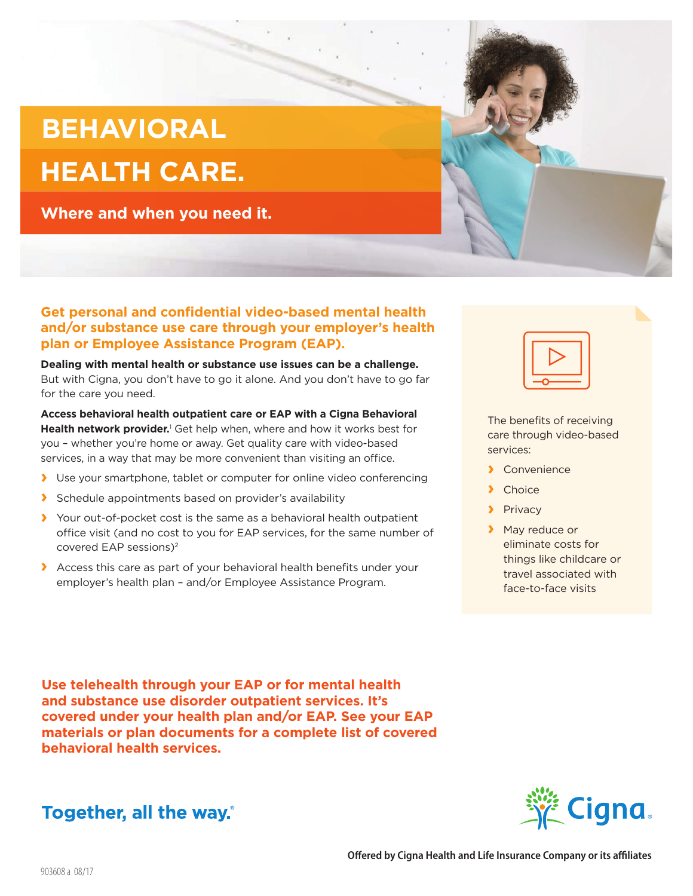## **BEHAVIORAL HEALTH CARE.**

**Where and when you need it.**

## **Get personal and confidential video-based mental health and/or substance use care through your employer's health plan or Employee Assistance Program (EAP).**

**Dealing with mental health or substance use issues can be a challenge.** But with Cigna, you don't have to go it alone. And you don't have to go far for the care you need.

**Access behavioral health outpatient care or EAP with a Cigna Behavioral**  Health network provider.<sup>1</sup> Get help when, where and how it works best for you – whether you're home or away. Get quality care with video-based services, in a way that may be more convenient than visiting an office.

- **›** Use your smartphone, tablet or computer for online video conferencing
- **›** Schedule appointments based on provider's availability
- **›** Your out-of-pocket cost is the same as a behavioral health outpatient office visit (and no cost to you for EAP services, for the same number of covered EAP sessions)<sup>2</sup>
- **›** Access this care as part of your behavioral health benefits under your employer's health plan – and/or Employee Assistance Program.

**Use telehealth through your EAP or for mental health and substance use disorder outpatient services. It's covered under your health plan and/or EAP. See your EAP materials or plan documents for a complete list of covered behavioral health services.** 







- **›** Convenience
- **›** Choice
- **›** Privacy
- **›** May reduce or eliminate costs for things like childcare or travel associated with face-to-face visits